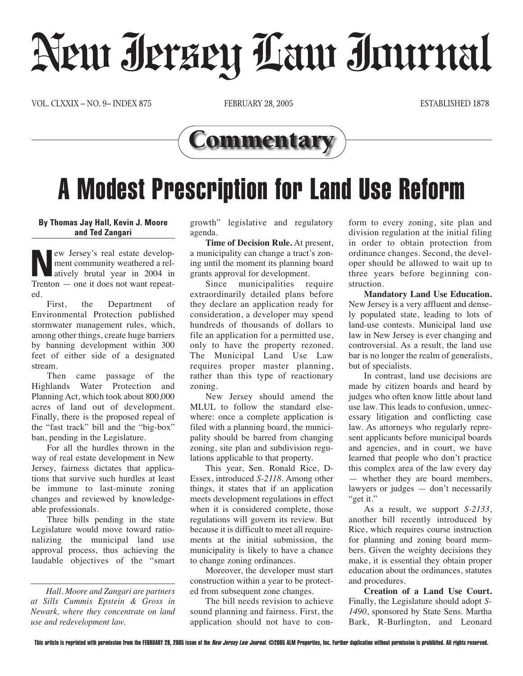## Neur Jerzey Law Journal

VOL. CLXXIX – NO. 9– INDEX 875 FEBRUARY 28, 2005 ESTABLISHED 1878



## A Modest Prescription for Land Use Reform

## **By Thomas Jay Hall, Kevin J. Moore and Ted Zangari**

**New Jersey's real estate develop-<br>
ment community weathered a rel-<br>
atively brutal year in 2004 in<br>
Trenton — one it does not want repeat**ment community weathered a rel-Trenton — one it does not want repeated.

First, the Department of Environmental Protection published stormwater management rules, which, among other things, create huge barriers by banning development within 300 feet of either side of a designated stream.

Then came passage of the Highlands Water Protection and Planning Act, which took about 800,000 acres of land out of development. Finally, there is the proposed repeal of the "fast track" bill and the "big-box" ban, pending in the Legislature.

For all the hurdles thrown in the way of real estate development in New Jersey, fairness dictates that applications that survive such hurdles at least be immune to last-minute zoning changes and reviewed by knowledgeable professionals.

Three bills pending in the state Legislature would move toward rationalizing the municipal land use approval process, thus achieving the laudable objectives of the "smart growth" legislative and regulatory agenda.

**Time of Decision Rule.** At present, a municipality can change a tract's zoning until the moment its planning board grants approval for development.

Since municipalities require extraordinarily detailed plans before they declare an application ready for consideration, a developer may spend hundreds of thousands of dollars to file an application for a permitted use, only to have the property rezoned. The Municipal Land Use Law requires proper master planning, rather than this type of reactionary zoning.

New Jersey should amend the MLUL to follow the standard elsewhere: once a complete application is filed with a planning board, the municipality should be barred from changing zoning, site plan and subdivision regulations applicable to that property.

This year, Sen. Ronald Rice, D-Essex, introduced *S-2118*. Among other things, it states that if an application meets development regulations in effect when it is considered complete, those regulations will govern its review. But because it is difficult to meet all requirements at the initial submission, the municipality is likely to have a chance to change zoning ordinances.

Moreover, the developer must start construction within a year to be protected from subsequent zone changes.

The bill needs revision to achieve sound planning and fairness. First, the application should not have to conform to every zoning, site plan and division regulation at the initial filing in order to obtain protection from ordinance changes. Second, the developer should be allowed to wait up to three years before beginning construction.

**Mandatory Land Use Education.** New Jersey is a very affluent and densely populated state, leading to lots of land-use contests. Municipal land use law in New Jersey is ever changing and controversial. As a result, the land use bar is no longer the realm of generalists, but of specialists.

In contrast, land use decisions are made by citizen boards and heard by judges who often know little about land use law. This leads to confusion, unnecessary litigation and conflicting case law. As attorneys who regularly represent applicants before municipal boards and agencies, and in court, we have learned that people who don't practice this complex area of the law every day — whether they are board members, lawyers or judges — don't necessarily "get it."

As a result, we support *S-2133*, another bill recently introduced by Rice, which requires course instruction for planning and zoning board members. Given the weighty decisions they make, it is essential they obtain proper education about the ordinances, statutes and procedures.

**Creation of a Land Use Court.** Finally, the Legislature should adopt *S-1490*, sponsored by State Sens. Martha Bark, R-Burlington, and Leonard

*Hall, Moore and Zangari are partners at Sills Cummis Epstein & Gross in Newark, where they concentrate on land use and redevelopment law.*